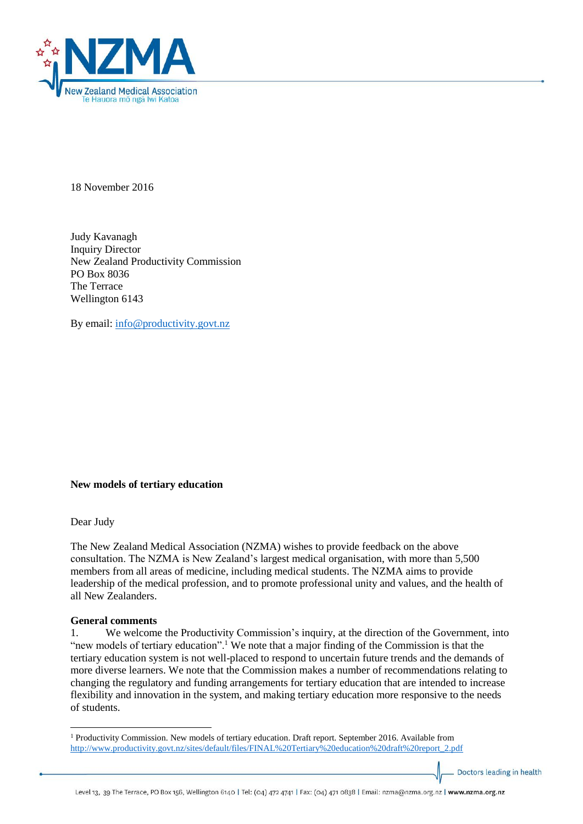

18 November 2016

Judy Kavanagh Inquiry Director New Zealand Productivity Commission PO Box 8036 The Terrace Wellington 6143

By email: [info@productivity.govt.nz](mailto:info@productivity.govt.nz)

#### **New models of tertiary education**

Dear Judy

The New Zealand Medical Association (NZMA) wishes to provide feedback on the above consultation. The NZMA is New Zealand's largest medical organisation, with more than 5,500 members from all areas of medicine, including medical students. The NZMA aims to provide leadership of the medical profession, and to promote professional unity and values, and the health of all New Zealanders.

#### **General comments**

1. We welcome the Productivity Commission's inquiry, at the direction of the Government, into "new models of tertiary education".<sup>1</sup> We note that a major finding of the Commission is that the tertiary education system is not well-placed to respond to uncertain future trends and the demands of more diverse learners. We note that the Commission makes a number of recommendations relating to changing the regulatory and funding arrangements for tertiary education that are intended to increase flexibility and innovation in the system, and making tertiary education more responsive to the needs of students.

Doctors leading in health

<sup>1</sup> <sup>1</sup> Productivity Commission. New models of tertiary education. Draft report. September 2016. Available from [http://www.productivity.govt.nz/sites/default/files/FINAL%20Tertiary%20education%20draft%20report\\_2.pdf](http://www.productivity.govt.nz/sites/default/files/FINAL%20Tertiary%20education%20draft%20report_2.pdf)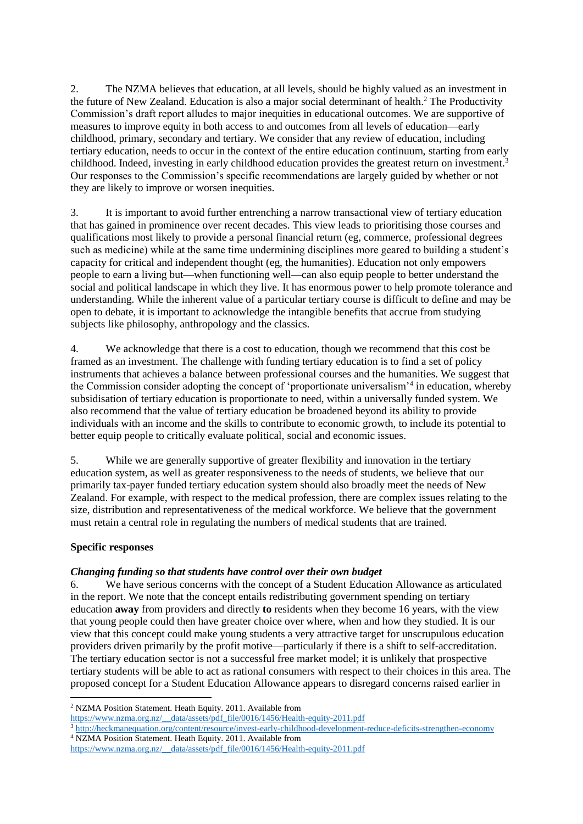2. The NZMA believes that education, at all levels, should be highly valued as an investment in the future of New Zealand. Education is also a major social determinant of health.<sup>2</sup> The Productivity Commission's draft report alludes to major inequities in educational outcomes. We are supportive of measures to improve equity in both access to and outcomes from all levels of education—early childhood, primary, secondary and tertiary. We consider that any review of education, including tertiary education, needs to occur in the context of the entire education continuum, starting from early childhood. Indeed, investing in early childhood education provides the greatest return on investment.<sup>3</sup> Our responses to the Commission's specific recommendations are largely guided by whether or not they are likely to improve or worsen inequities.

3. It is important to avoid further entrenching a narrow transactional view of tertiary education that has gained in prominence over recent decades. This view leads to prioritising those courses and qualifications most likely to provide a personal financial return (eg, commerce, professional degrees such as medicine) while at the same time undermining disciplines more geared to building a student's capacity for critical and independent thought (eg, the humanities). Education not only empowers people to earn a living but—when functioning well—can also equip people to better understand the social and political landscape in which they live. It has enormous power to help promote tolerance and understanding. While the inherent value of a particular tertiary course is difficult to define and may be open to debate, it is important to acknowledge the intangible benefits that accrue from studying subjects like philosophy, anthropology and the classics.

4. We acknowledge that there is a cost to education, though we recommend that this cost be framed as an investment. The challenge with funding tertiary education is to find a set of policy instruments that achieves a balance between professional courses and the humanities. We suggest that the Commission consider adopting the concept of 'proportionate universalism'<sup>4</sup> in education, whereby subsidisation of tertiary education is proportionate to need, within a universally funded system. We also recommend that the value of tertiary education be broadened beyond its ability to provide individuals with an income and the skills to contribute to economic growth, to include its potential to better equip people to critically evaluate political, social and economic issues.

5. While we are generally supportive of greater flexibility and innovation in the tertiary education system, as well as greater responsiveness to the needs of students, we believe that our primarily tax-payer funded tertiary education system should also broadly meet the needs of New Zealand. For example, with respect to the medical profession, there are complex issues relating to the size, distribution and representativeness of the medical workforce. We believe that the government must retain a central role in regulating the numbers of medical students that are trained.

# **Specific responses**

1

# *Changing funding so that students have control over their own budget*

6. We have serious concerns with the concept of a Student Education Allowance as articulated in the report. We note that the concept entails redistributing government spending on tertiary education **away** from providers and directly **to** residents when they become 16 years, with the view that young people could then have greater choice over where, when and how they studied. It is our view that this concept could make young students a very attractive target for unscrupulous education providers driven primarily by the profit motive—particularly if there is a shift to self-accreditation. The tertiary education sector is not a successful free market model; it is unlikely that prospective tertiary students will be able to act as rational consumers with respect to their choices in this area. The proposed concept for a Student Education Allowance appears to disregard concerns raised earlier in

[https://www.nzma.org.nz/\\_\\_data/assets/pdf\\_file/0016/1456/Health-equity-2011.pdf](https://www.nzma.org.nz/__data/assets/pdf_file/0016/1456/Health-equity-2011.pdf)

<sup>2</sup> NZMA Position Statement. Heath Equity. 2011. Available from

<sup>3</sup> <http://heckmanequation.org/content/resource/invest-early-childhood-development-reduce-deficits-strengthen-economy> <sup>4</sup> NZMA Position Statement. Heath Equity. 2011. Available from

[https://www.nzma.org.nz/\\_\\_data/assets/pdf\\_file/0016/1456/Health-equity-2011.pdf](https://www.nzma.org.nz/__data/assets/pdf_file/0016/1456/Health-equity-2011.pdf)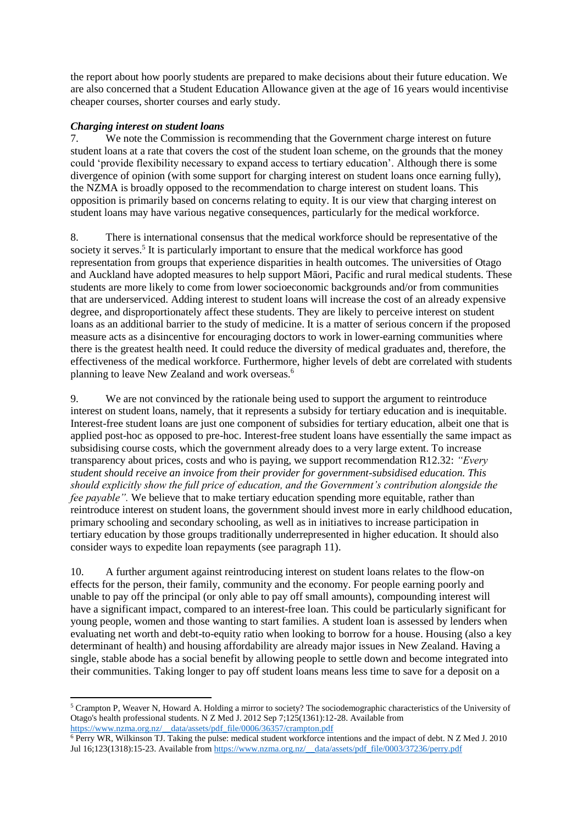the report about how poorly students are prepared to make decisions about their future education. We are also concerned that a Student Education Allowance given at the age of 16 years would incentivise cheaper courses, shorter courses and early study.

### *Charging interest on student loans*

7. We note the Commission is recommending that the Government charge interest on future student loans at a rate that covers the cost of the student loan scheme, on the grounds that the money could 'provide flexibility necessary to expand access to tertiary education'. Although there is some divergence of opinion (with some support for charging interest on student loans once earning fully), the NZMA is broadly opposed to the recommendation to charge interest on student loans. This opposition is primarily based on concerns relating to equity. It is our view that charging interest on student loans may have various negative consequences, particularly for the medical workforce.

8. There is international consensus that the medical workforce should be representative of the society it serves.<sup>5</sup> It is particularly important to ensure that the medical workforce has good representation from groups that experience disparities in health outcomes. The universities of Otago and Auckland have adopted measures to help support Māori, Pacific and rural medical students. These students are more likely to come from lower socioeconomic backgrounds and/or from communities that are underserviced. Adding interest to student loans will increase the cost of an already expensive degree, and disproportionately affect these students. They are likely to perceive interest on student loans as an additional barrier to the study of medicine. It is a matter of serious concern if the proposed measure acts as a disincentive for encouraging doctors to work in lower-earning communities where there is the greatest health need. It could reduce the diversity of medical graduates and, therefore, the effectiveness of the medical workforce. Furthermore, higher levels of debt are correlated with students planning to leave New Zealand and work overseas.<sup>6</sup>

9. We are not convinced by the rationale being used to support the argument to reintroduce interest on student loans, namely, that it represents a subsidy for tertiary education and is inequitable. Interest-free student loans are just one component of subsidies for tertiary education, albeit one that is applied post-hoc as opposed to pre-hoc. Interest-free student loans have essentially the same impact as subsidising course costs, which the government already does to a very large extent. To increase transparency about prices, costs and who is paying, we support recommendation R12.32: *"Every student should receive an invoice from their provider for government-subsidised education. This should explicitly show the full price of education, and the Government's contribution alongside the fee payable"*. We believe that to make tertiary education spending more equitable, rather than reintroduce interest on student loans, the government should invest more in early childhood education, primary schooling and secondary schooling, as well as in initiatives to increase participation in tertiary education by those groups traditionally underrepresented in higher education. It should also consider ways to expedite loan repayments (see paragraph 11).

10. A further argument against reintroducing interest on student loans relates to the flow-on effects for the person, their family, community and the economy. For people earning poorly and unable to pay off the principal (or only able to pay off small amounts), compounding interest will have a significant impact, compared to an interest-free loan. This could be particularly significant for young people, women and those wanting to start families. A student loan is assessed by lenders when evaluating net worth and debt-to-equity ratio when looking to borrow for a house. Housing (also a key determinant of health) and housing affordability are already major issues in New Zealand. Having a single, stable abode has a social benefit by allowing people to settle down and become integrated into their communities. Taking longer to pay off student loans means less time to save for a deposit on a

<sup>1</sup> <sup>5</sup> Crampton P, Weaver N, Howard A. Holding a mirror to society? The sociodemographic characteristics of the University of Otago's health professional students. N Z Med J. 2012 Sep 7;125(1361):12-28. Available from [https://www.nzma.org.nz/\\_\\_data/assets/pdf\\_file/0006/36357/crampton.pdf](https://www.nzma.org.nz/__data/assets/pdf_file/0006/36357/crampton.pdf)

 $6$  Perry WR, Wilkinson TJ. Taking the pulse: medical student workforce intentions and the impact of debt. N Z Med J. 2010 Jul 16;123(1318):15-23. Available fro[m https://www.nzma.org.nz/\\_\\_data/assets/pdf\\_file/0003/37236/perry.pdf](https://www.nzma.org.nz/__data/assets/pdf_file/0003/37236/perry.pdf)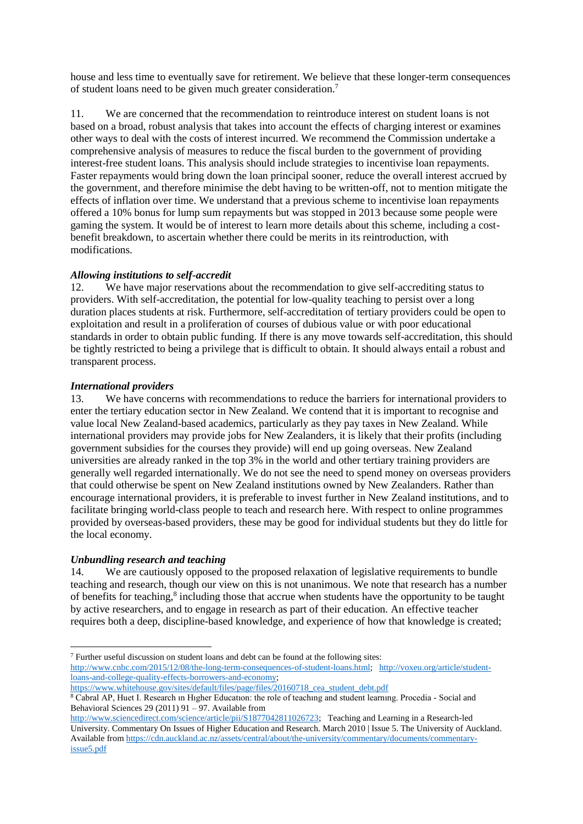house and less time to eventually save for retirement. We believe that these longer-term consequences of student loans need to be given much greater consideration.<sup>7</sup>

11. We are concerned that the recommendation to reintroduce interest on student loans is not based on a broad, robust analysis that takes into account the effects of charging interest or examines other ways to deal with the costs of interest incurred. We recommend the Commission undertake a comprehensive analysis of measures to reduce the fiscal burden to the government of providing interest-free student loans. This analysis should include strategies to incentivise loan repayments. Faster repayments would bring down the loan principal sooner, reduce the overall interest accrued by the government, and therefore minimise the debt having to be written-off, not to mention mitigate the effects of inflation over time. We understand that a previous scheme to incentivise loan repayments offered a 10% bonus for lump sum repayments but was stopped in 2013 because some people were gaming the system. It would be of interest to learn more details about this scheme, including a costbenefit breakdown, to ascertain whether there could be merits in its reintroduction, with modifications.

#### *Allowing institutions to self-accredit*

12. We have major reservations about the recommendation to give self-accrediting status to providers. With self-accreditation, the potential for low-quality teaching to persist over a long duration places students at risk. Furthermore, self-accreditation of tertiary providers could be open to exploitation and result in a proliferation of courses of dubious value or with poor educational standards in order to obtain public funding. If there is any move towards self-accreditation, this should be tightly restricted to being a privilege that is difficult to obtain. It should always entail a robust and transparent process.

### *International providers*

13. We have concerns with recommendations to reduce the barriers for international providers to enter the tertiary education sector in New Zealand. We contend that it is important to recognise and value local New Zealand-based academics, particularly as they pay taxes in New Zealand. While international providers may provide jobs for New Zealanders, it is likely that their profits (including government subsidies for the courses they provide) will end up going overseas. New Zealand universities are already ranked in the top 3% in the world and other tertiary training providers are generally well regarded internationally. We do not see the need to spend money on overseas providers that could otherwise be spent on New Zealand institutions owned by New Zealanders. Rather than encourage international providers, it is preferable to invest further in New Zealand institutions, and to facilitate bringing world-class people to teach and research here. With respect to online programmes provided by overseas-based providers, these may be good for individual students but they do little for the local economy.

# *Unbundling research and teaching*

 $\overline{a}$ 

14. We are cautiously opposed to the proposed relaxation of legislative requirements to bundle teaching and research, though our view on this is not unanimous. We note that research has a number of benefits for teaching, 8 including those that accrue when students have the opportunity to be taught by active researchers, and to engage in research as part of their education. An effective teacher requires both a deep, discipline-based knowledge, and experience of how that knowledge is created;

<sup>7</sup> Further useful discussion on student loans and debt can be found at the following sites: [http://www.cnbc.com/2015/12/08/the-long-term-consequences-of-student-loans.html;](http://www.cnbc.com/2015/12/08/the-long-term-consequences-of-student-loans.html) [http://voxeu.org/article/student](http://voxeu.org/article/student-loans-and-college-quality-effects-borrowers-and-economy)[loans-and-college-quality-effects-borrowers-and-economy;](http://voxeu.org/article/student-loans-and-college-quality-effects-borrowers-and-economy) 

[https://www.whitehouse.gov/sites/default/files/page/files/20160718\\_cea\\_student\\_debt.pdf](https://www.whitehouse.gov/sites/default/files/page/files/20160718_cea_student_debt.pdf)

<sup>8</sup> Cabral AP, Huet I. Research ın Hıgher Educatıon: the role of teachıng and student learnıng. Procedia - Social and Behavioral Sciences 29 (2011) 91 – 97. Available from

[http://www.sciencedirect.com/science/article/pii/S1877042811026723;](http://www.sciencedirect.com/science/article/pii/S1877042811026723) Teaching and Learning in a Research-led University. Commentary On Issues of Higher Education and Research. March 2010 | Issue 5. The University of Auckland. Available from [https://cdn.auckland.ac.nz/assets/central/about/the-university/commentary/documents/commentary](https://cdn.auckland.ac.nz/assets/central/about/the-university/commentary/documents/commentary-issue5.pdf)[issue5.pdf](https://cdn.auckland.ac.nz/assets/central/about/the-university/commentary/documents/commentary-issue5.pdf)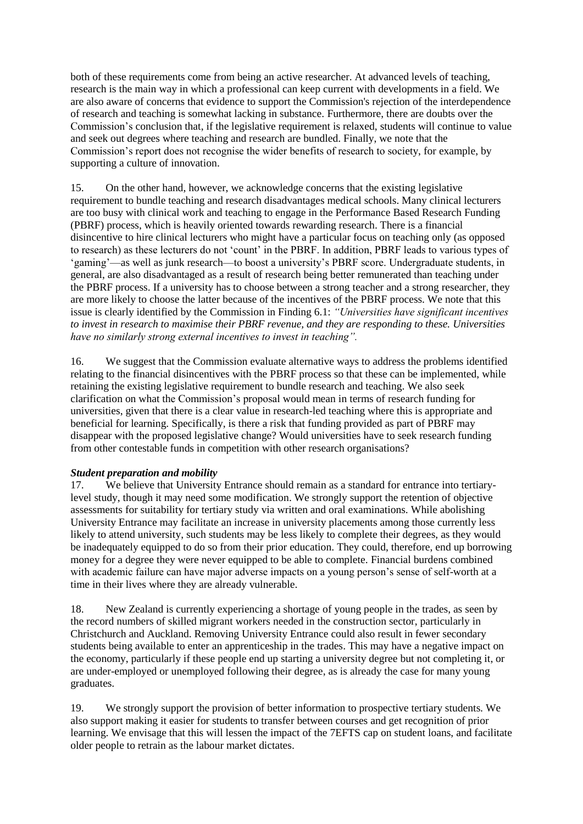both of these requirements come from being an active researcher. At advanced levels of teaching, research is the main way in which a professional can keep current with developments in a field. We are also aware of concerns that evidence to support the Commission's rejection of the interdependence of research and teaching is somewhat lacking in substance. Furthermore, there are doubts over the Commission's conclusion that, if the legislative requirement is relaxed, students will continue to value and seek out degrees where teaching and research are bundled. Finally, we note that the Commission's report does not recognise the wider benefits of research to society, for example, by supporting a culture of innovation.

15. On the other hand, however, we acknowledge concerns that the existing legislative requirement to bundle teaching and research disadvantages medical schools. Many clinical lecturers are too busy with clinical work and teaching to engage in the Performance Based Research Funding (PBRF) process, which is heavily oriented towards rewarding research. There is a financial disincentive to hire clinical lecturers who might have a particular focus on teaching only (as opposed to research) as these lecturers do not 'count' in the PBRF. In addition, PBRF leads to various types of 'gaming'—as well as junk research—to boost a university's PBRF score. Undergraduate students, in general, are also disadvantaged as a result of research being better remunerated than teaching under the PBRF process. If a university has to choose between a strong teacher and a strong researcher, they are more likely to choose the latter because of the incentives of the PBRF process. We note that this issue is clearly identified by the Commission in Finding 6.1: *"Universities have significant incentives to invest in research to maximise their PBRF revenue, and they are responding to these. Universities have no similarly strong external incentives to invest in teaching".*

16. We suggest that the Commission evaluate alternative ways to address the problems identified relating to the financial disincentives with the PBRF process so that these can be implemented, while retaining the existing legislative requirement to bundle research and teaching. We also seek clarification on what the Commission's proposal would mean in terms of research funding for universities, given that there is a clear value in research-led teaching where this is appropriate and beneficial for learning. Specifically, is there a risk that funding provided as part of PBRF may disappear with the proposed legislative change? Would universities have to seek research funding from other contestable funds in competition with other research organisations?

#### *Student preparation and mobility*

17. We believe that University Entrance should remain as a standard for entrance into tertiarylevel study, though it may need some modification. We strongly support the retention of objective assessments for suitability for tertiary study via written and oral examinations. While abolishing University Entrance may facilitate an increase in university placements among those currently less likely to attend university, such students may be less likely to complete their degrees, as they would be inadequately equipped to do so from their prior education. They could, therefore, end up borrowing money for a degree they were never equipped to be able to complete. Financial burdens combined with academic failure can have major adverse impacts on a young person's sense of self-worth at a time in their lives where they are already vulnerable.

18. New Zealand is currently experiencing a shortage of young people in the trades, as seen by the record numbers of skilled migrant workers needed in the construction sector, particularly in Christchurch and Auckland. Removing University Entrance could also result in fewer secondary students being available to enter an apprenticeship in the trades. This may have a negative impact on the economy, particularly if these people end up starting a university degree but not completing it, or are under-employed or unemployed following their degree, as is already the case for many young graduates.

19. We strongly support the provision of better information to prospective tertiary students. We also support making it easier for students to transfer between courses and get recognition of prior learning. We envisage that this will lessen the impact of the 7EFTS cap on student loans, and facilitate older people to retrain as the labour market dictates.